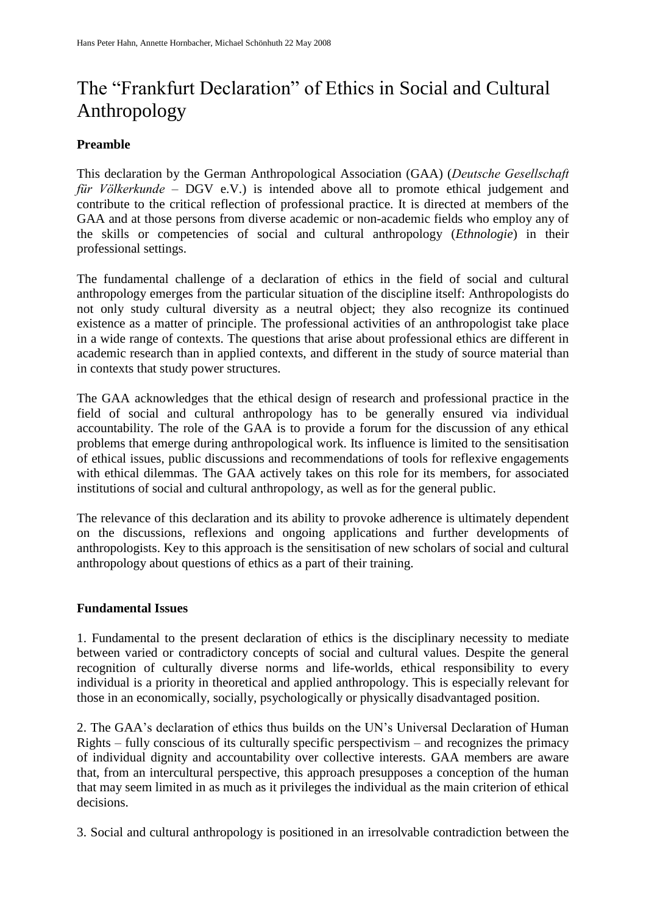# The "Frankfurt Declaration" of Ethics in Social and Cultural Anthropology

## **Preamble**

This declaration by the German Anthropological Association (GAA) (*Deutsche Gesellschaft für Völkerkunde* – DGV e.V.) is intended above all to promote ethical judgement and contribute to the critical reflection of professional practice. It is directed at members of the GAA and at those persons from diverse academic or non-academic fields who employ any of the skills or competencies of social and cultural anthropology (*Ethnologie*) in their professional settings.

The fundamental challenge of a declaration of ethics in the field of social and cultural anthropology emerges from the particular situation of the discipline itself: Anthropologists do not only study cultural diversity as a neutral object; they also recognize its continued existence as a matter of principle. The professional activities of an anthropologist take place in a wide range of contexts. The questions that arise about professional ethics are different in academic research than in applied contexts, and different in the study of source material than in contexts that study power structures.

The GAA acknowledges that the ethical design of research and professional practice in the field of social and cultural anthropology has to be generally ensured via individual accountability. The role of the GAA is to provide a forum for the discussion of any ethical problems that emerge during anthropological work. Its influence is limited to the sensitisation of ethical issues, public discussions and recommendations of tools for reflexive engagements with ethical dilemmas. The GAA actively takes on this role for its members, for associated institutions of social and cultural anthropology, as well as for the general public.

The relevance of this declaration and its ability to provoke adherence is ultimately dependent on the discussions, reflexions and ongoing applications and further developments of anthropologists. Key to this approach is the sensitisation of new scholars of social and cultural anthropology about questions of ethics as a part of their training.

### **Fundamental Issues**

1. Fundamental to the present declaration of ethics is the disciplinary necessity to mediate between varied or contradictory concepts of social and cultural values. Despite the general recognition of culturally diverse norms and life-worlds, ethical responsibility to every individual is a priority in theoretical and applied anthropology. This is especially relevant for those in an economically, socially, psychologically or physically disadvantaged position.

2. The GAA's declaration of ethics thus builds on the UN's Universal Declaration of Human Rights – fully conscious of its culturally specific perspectivism – and recognizes the primacy of individual dignity and accountability over collective interests. GAA members are aware that, from an intercultural perspective, this approach presupposes a conception of the human that may seem limited in as much as it privileges the individual as the main criterion of ethical decisions.

3. Social and cultural anthropology is positioned in an irresolvable contradiction between the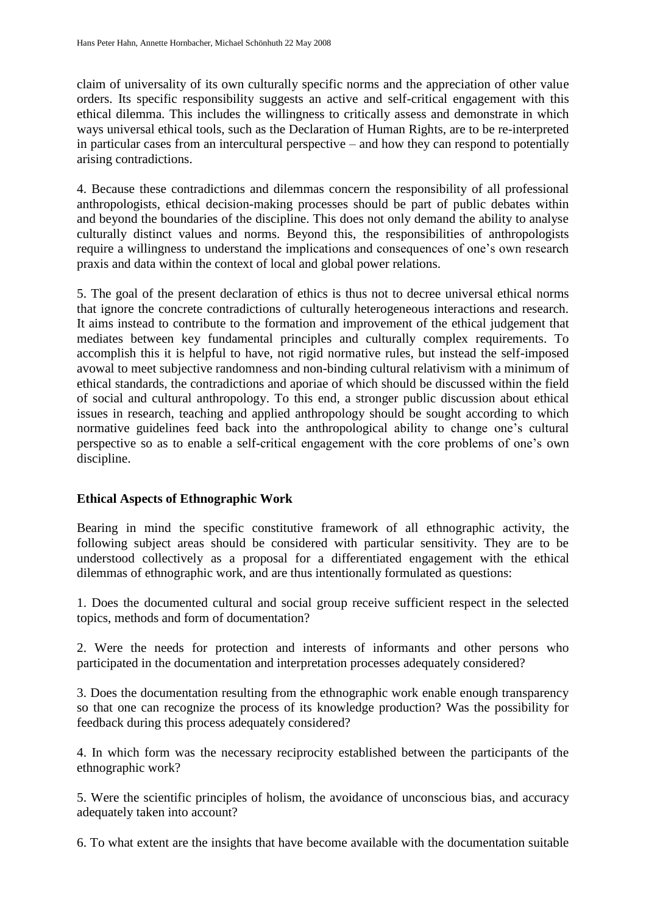claim of universality of its own culturally specific norms and the appreciation of other value orders. Its specific responsibility suggests an active and self-critical engagement with this ethical dilemma. This includes the willingness to critically assess and demonstrate in which ways universal ethical tools, such as the Declaration of Human Rights, are to be re-interpreted in particular cases from an intercultural perspective – and how they can respond to potentially arising contradictions.

4. Because these contradictions and dilemmas concern the responsibility of all professional anthropologists, ethical decision-making processes should be part of public debates within and beyond the boundaries of the discipline. This does not only demand the ability to analyse culturally distinct values and norms. Beyond this, the responsibilities of anthropologists require a willingness to understand the implications and consequences of one's own research praxis and data within the context of local and global power relations.

5. The goal of the present declaration of ethics is thus not to decree universal ethical norms that ignore the concrete contradictions of culturally heterogeneous interactions and research. It aims instead to contribute to the formation and improvement of the ethical judgement that mediates between key fundamental principles and culturally complex requirements. To accomplish this it is helpful to have, not rigid normative rules, but instead the self-imposed avowal to meet subjective randomness and non-binding cultural relativism with a minimum of ethical standards, the contradictions and aporiae of which should be discussed within the field of social and cultural anthropology. To this end, a stronger public discussion about ethical issues in research, teaching and applied anthropology should be sought according to which normative guidelines feed back into the anthropological ability to change one's cultural perspective so as to enable a self-critical engagement with the core problems of one's own discipline.

# **Ethical Aspects of Ethnographic Work**

Bearing in mind the specific constitutive framework of all ethnographic activity, the following subject areas should be considered with particular sensitivity. They are to be understood collectively as a proposal for a differentiated engagement with the ethical dilemmas of ethnographic work, and are thus intentionally formulated as questions:

1. Does the documented cultural and social group receive sufficient respect in the selected topics, methods and form of documentation?

2. Were the needs for protection and interests of informants and other persons who participated in the documentation and interpretation processes adequately considered?

3. Does the documentation resulting from the ethnographic work enable enough transparency so that one can recognize the process of its knowledge production? Was the possibility for feedback during this process adequately considered?

4. In which form was the necessary reciprocity established between the participants of the ethnographic work?

5. Were the scientific principles of holism, the avoidance of unconscious bias, and accuracy adequately taken into account?

6. To what extent are the insights that have become available with the documentation suitable